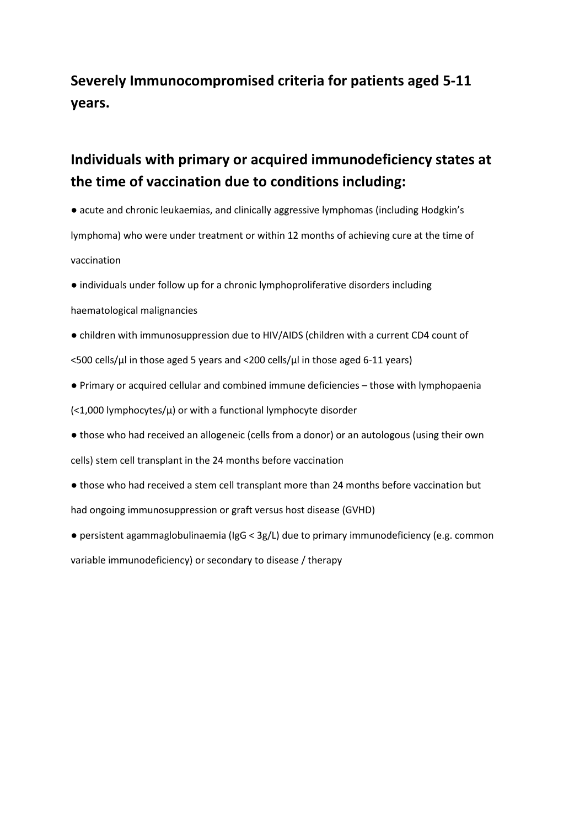## **Severely Immunocompromised criteria for patients aged 5-11 years.**

## **Individuals with primary or acquired immunodeficiency states at the time of vaccination due to conditions including:**

- acute and chronic leukaemias, and clinically aggressive lymphomas (including Hodgkin's lymphoma) who were under treatment or within 12 months of achieving cure at the time of vaccination
- individuals under follow up for a chronic lymphoproliferative disorders including
- haematological malignancies
- children with immunosuppression due to HIV/AIDS (children with a current CD4 count of <500 cells/µl in those aged 5 years and <200 cells/µl in those aged 6-11 years)
- Primary or acquired cellular and combined immune deficiencies those with lymphopaenia

 $\left($  <1,000 lymphocytes/ $\mu$ ) or with a functional lymphocyte disorder

- those who had received an allogeneic (cells from a donor) or an autologous (using their own cells) stem cell transplant in the 24 months before vaccination
- those who had received a stem cell transplant more than 24 months before vaccination but had ongoing immunosuppression or graft versus host disease (GVHD)
- persistent agammaglobulinaemia (IgG < 3g/L) due to primary immunodeficiency (e.g. common variable immunodeficiency) or secondary to disease / therapy